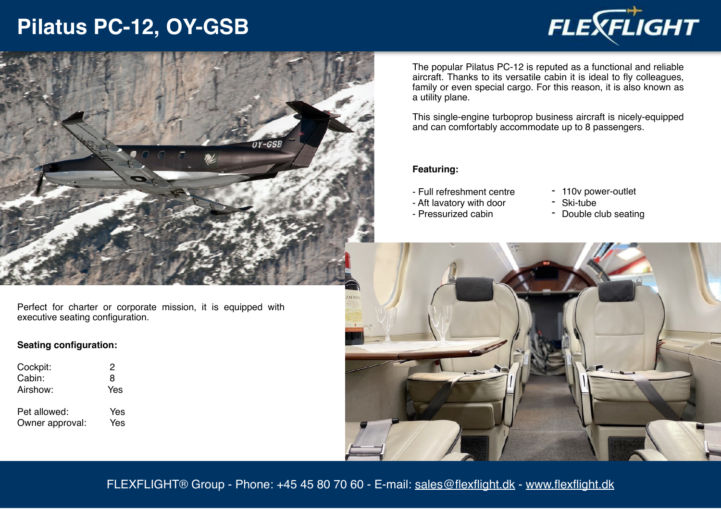## **Pilatus PC-12, OY-GSB**





Perfect for charter or corporate mission, it is equipped with executive seating configuration.

### **Seating configuration:**

| Cockpit:                        | 2          |
|---------------------------------|------------|
| Cabin:                          | 8          |
| Airshow:                        | Yes        |
| Pet allowed:<br>Owner approval: | Yes<br>Yes |
|                                 |            |

The popular Pilatus PC-12 is reputed as a functional and reliable aircraft. Thanks to its versatile cabin it is ideal to fly colleagues, family or even special cargo. For this reason, it is also known as a utility plane.

This single-engine turboprop business aircraft is nicely-equipped and can comfortably accommodate up to 8 passengers.

### **Featuring:**

- Full refreshment centre
- Aft lavatory with door
- Pressurized cabin
- 110v power-outlet
- Ski-tube
- Double club seating



FLEXFLIGHT® Group - Phone: +45 45 80 70 60 - E-mail: [sales@flexflight.dk](mailto:sales@flexflight.dk) - [www.flexflight.dk](http://www.flexflight.dk)